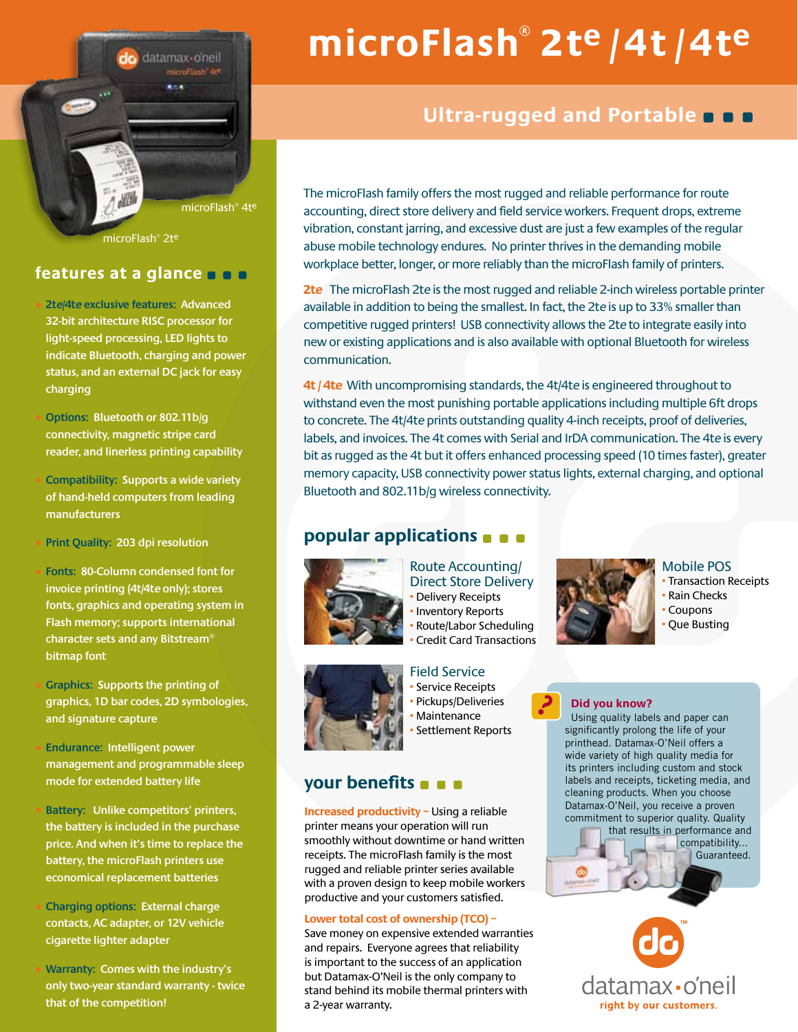datamax-oneil microFlash<sup>410</sup> 83.4 microFlash® 4te

microFlash® 2te

## **features at a glance**

• **2te/4te exclusive features: Advanced 32-bit architecture RISC processor for light-speed processing, LED lights to indicate Bluetooth, charging and power status, and an external DC jack for easy charging**

• **Options: Bluetooth or 802.11b/g connectivity, magnetic stripe card reader, and linerless printing capability**

• **Compatibility: Supports a wide variety of hand-held computers from leading manufacturers**

• **Print Quality: 203 dpi resolution**

• **Fonts: 80-Column condensed font for invoice printing (4t/4te only); stores fonts, graphics and operating system in Flash memory; supports international character sets and any Bitstream® bitmap font**

• **Graphics: Supports the printing of graphics, 1D bar codes, 2D symbologies, and signature capture**

• **Endurance: Intelligent power management and programmable sleep mode for extended battery life**

• **Battery: Unlike competitors' printers, the battery is included in the purchase price. And when it's time to replace the battery, the microFlash printers use economical replacement batteries**

• **Charging options: External charge contacts, AC adapter, or 12V vehicle cigarette lighter adapter**

• **Warranty: Comes with the industry's only two-year standard warranty - twice that of the competition!**

# **microFlash® 2te / 4t / 4te**

# **Ultra-rugged and Portable**

The microFlash family offers the most rugged and reliable performance for route accounting, direct store delivery and field service workers. Frequent drops, extreme vibration, constant jarring, and excessive dust are just a few examples of the regular abuse mobile technology endures. No printer thrives in the demanding mobile workplace better, longer, or more reliably than the microFlash family of printers.

**2te** The microFlash 2te is the most rugged and reliable 2-inch wireless portable printer available in addition to being the smallest. In fact, the 2te is up to 33% smaller than competitive rugged printers! USB connectivity allows the 2te to integrate easily into new or existing applications and is also available with optional Bluetooth for wireless communication.

**4t / 4te** With uncompromising standards, the 4t/4te is engineered throughout to withstand even the most punishing portable applications including multiple 6ft drops to concrete. The 4t/4te prints outstanding quality 4-inch receipts, proof of deliveries, labels, and invoices. The 4t comes with Serial and IrDA communication. The 4te is every bit as rugged as the 4t but it offers enhanced processing speed (10 times faster), greater memory capacity, USB connectivity power status lights, external charging, and optional Bluetooth and 802.11b/g wireless connectivity.

?

## **popular applications**



Route Accounting/ Direct Store Delivery • Delivery Receipts • Inventory Reports • Route/Labor Scheduling • Credit Card Transactions



## Mobile POS

• Transaction Receipts • Rain Checks **Coupons** • Que Busting



Field Service • Service Receipts • Pickups/Deliveries • Maintenance • Settlement Reports

## **your benefits**

**Increased productivity –** Using a reliable printer means your operation will run smoothly without downtime or hand written receipts. The microFlash family is the most rugged and reliable printer series available with a proven design to keep mobile workers productive and your customers satisfied.

## **Lower total cost of ownership (TCO) –**

Save money on expensive extended warranties and repairs. Everyone agrees that reliability is important to the success of an application but Datamax-O'Neil is the only company to stand behind its mobile thermal printers with a 2-year warranty.



Using quality labels and paper can significantly prolong the life of your printhead. Datamax-O'Neil offers a wide variety of high quality media for its printers including custom and stock labels and receipts, ticketing media, and cleaning products. When you choose Datamax-O'Neil, you receive a proven commitment to superior quality. Quality



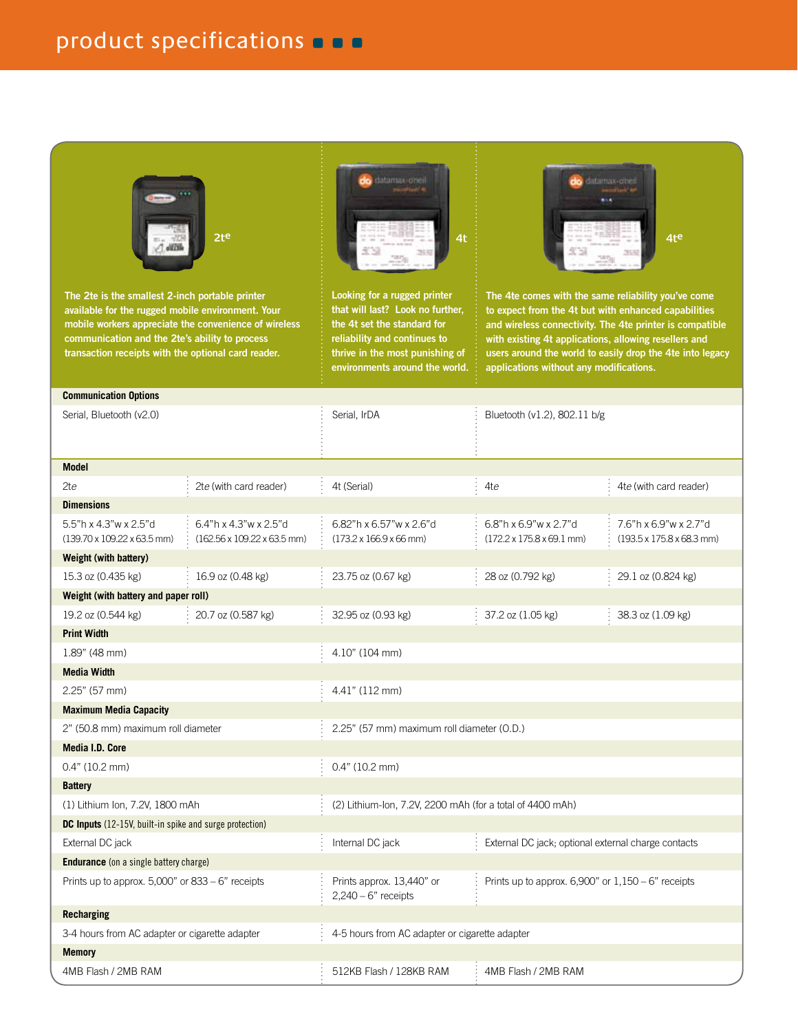

**The 2te is the smallest 2-inch portable printer available for the rugged mobile environment. Your mobile workers appreciate the convenience of wireless communication and the 2te's ability to process transaction receipts with the optional card reader.** 



**Looking for a rugged printer that will last? Look no further, the 4t set the standard for reliability and continues to thrive in the most punishing of environments around the world.**



**The 4te comes with the same reliability you've come to expect from the 4t but with enhanced capabilities and wireless connectivity. The 4te printer is compatible with existing 4t applications, allowing resellers and users around the world to easily drop the 4te into legacy applications without any modifications.** 

| <b>Communication Options</b>                                   |                                                      |                                                                |                                                                        |                                                                        |
|----------------------------------------------------------------|------------------------------------------------------|----------------------------------------------------------------|------------------------------------------------------------------------|------------------------------------------------------------------------|
| Serial, Bluetooth (v2.0)                                       |                                                      | Serial, IrDA                                                   | Bluetooth (v1.2), 802.11 b/g                                           |                                                                        |
|                                                                |                                                      |                                                                |                                                                        |                                                                        |
| <b>Model</b>                                                   |                                                      |                                                                |                                                                        |                                                                        |
| 2te                                                            | 2te (with card reader)                               | 4t (Serial)                                                    | 4te                                                                    | 4te (with card reader)                                                 |
| <b>Dimensions</b>                                              |                                                      |                                                                |                                                                        |                                                                        |
| 5.5"h x 4.3"w x 2.5"d<br>(139.70 x 109.22 x 63.5 mm)           | 6.4"h x 4.3"w x 2.5"d<br>(162.56 x 109.22 x 63.5 mm) | 6.82"h x 6.57"w x 2.6"d<br>$(173.2 \times 166.9 \times 66$ mm) | 6.8"h x 6.9"w x 2.7"d<br>$(172.2 \times 175.8 \times 69.1 \text{ mm})$ | 7.6"h x 6.9"w x 2.7"d<br>$(193.5 \times 175.8 \times 68.3 \text{ mm})$ |
| Weight (with battery)                                          |                                                      |                                                                |                                                                        |                                                                        |
| 15.3 oz (0.435 kg)                                             | 16.9 oz (0.48 kg)                                    | 23.75 oz (0.67 kg)                                             | 28 oz (0.792 kg)                                                       | 29.1 oz (0.824 kg)                                                     |
| Weight (with battery and paper roll)                           |                                                      |                                                                |                                                                        |                                                                        |
| 19.2 oz (0.544 kg)                                             | 20.7 oz (0.587 kg)                                   | 32.95 oz (0.93 kg)                                             | 37.2 oz (1.05 kg)                                                      | 38.3 oz (1.09 kg)                                                      |
| <b>Print Width</b>                                             |                                                      |                                                                |                                                                        |                                                                        |
| $1.89$ " (48 mm)                                               |                                                      | $4.10"$ (104 mm)                                               |                                                                        |                                                                        |
| <b>Media Width</b>                                             |                                                      |                                                                |                                                                        |                                                                        |
| $2.25"$ (57 mm)                                                |                                                      | 4.41" (112 mm)                                                 |                                                                        |                                                                        |
| <b>Maximum Media Capacity</b>                                  |                                                      |                                                                |                                                                        |                                                                        |
| 2" (50.8 mm) maximum roll diameter                             |                                                      | 2.25" (57 mm) maximum roll diameter (O.D.)                     |                                                                        |                                                                        |
| <b>Media I.D. Core</b>                                         |                                                      |                                                                |                                                                        |                                                                        |
| $0.4"$ (10.2 mm)                                               |                                                      | $0.4"$ (10.2 mm)                                               |                                                                        |                                                                        |
| <b>Battery</b>                                                 |                                                      |                                                                |                                                                        |                                                                        |
| (1) Lithium Ion, 7.2V, 1800 mAh                                |                                                      | (2) Lithium-Ion, 7.2V, 2200 mAh (for a total of 4400 mAh)      |                                                                        |                                                                        |
| <b>DC Inputs</b> (12-15V, built-in spike and surge protection) |                                                      |                                                                |                                                                        |                                                                        |
| External DC jack                                               |                                                      | Internal DC jack                                               | External DC jack; optional external charge contacts                    |                                                                        |
| <b>Endurance</b> (on a single battery charge)                  |                                                      |                                                                |                                                                        |                                                                        |
| Prints up to approx. $5,000$ " or $833 - 6$ " receipts         |                                                      | Prints approx. 13,440" or<br>$2,240 - 6"$ receipts             | Prints up to approx. $6,900$ " or $1,150 - 6$ " receipts               |                                                                        |
| Recharging                                                     |                                                      |                                                                |                                                                        |                                                                        |
| 3-4 hours from AC adapter or cigarette adapter                 |                                                      | 4-5 hours from AC adapter or cigarette adapter                 |                                                                        |                                                                        |
| <b>Memory</b>                                                  |                                                      |                                                                |                                                                        |                                                                        |
| 4MB Flash / 2MB RAM                                            |                                                      | 512KB Flash / 128KB RAM                                        | 4MB Flash / 2MB RAM                                                    |                                                                        |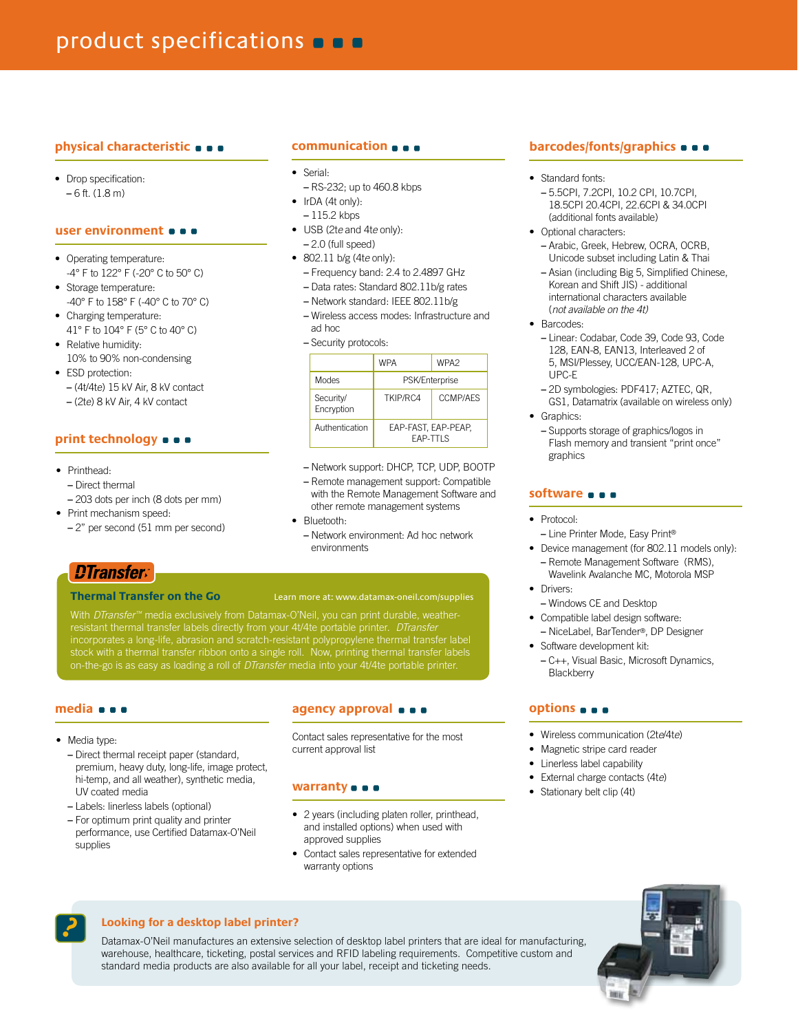## **physical characteristic**

• Drop specification: **–** 6 ft. (1.8 m)

#### **user environment**

- Operating temperature: -4° F to 122° F (-20° C to 50° C)
- Storage temperature: -40° F to 158° F (-40° C to 70° C)
- Charging temperature: 41° F to 104° F (5° C to 40° C)
- Relative humidity: 10% to 90% non-condensing
- ESD protection: **–** (4t/4te) 15 kV Air, 8 kV contact
	- (2te) 8 kV Air, 4 kV contact

## **print technology**

- Printhead:
- Direct thermal
- 203 dots per inch (8 dots per mm)
- Print mechanism speed:
- 2" per second (51 mm per second)

## **communication**

- • Serial:
- RS-232; up to 460.8 kbps
- IrDA (4t only):
- 115.2 kbps
- • USB (2t*e* and 4t*e* only): **–** 2.0 (full speed)
- • 802.11 b/g (4t*e* only):
	- Frequency band: 2.4 to 2.4897 GHz
	- Data rates: Standard 802.11b/g rates
	- Network standard: IEEE 802.11b/g
	- Wireless access modes: Infrastructure and ad hoc

**–** Security protocols:

|                         | <b>WPA</b>                             | WPA <sub>2</sub> |
|-------------------------|----------------------------------------|------------------|
| Modes                   | <b>PSK/Enterprise</b>                  |                  |
| Security/<br>Encryption | TKIP/RC4                               | <b>CCMP/AFS</b>  |
| Authentication          | EAP-FAST, EAP-PEAP.<br><b>FAP-TTIS</b> |                  |

**–** Network support: DHCP, TCP, UDP, BOOTP

- Remote management support: Compatible with the Remote Management Software and other remote management systems
- Bluetooth-
	- Network environment: Ad hoc network environments

## *DTransfer*

#### **Thermal Transfer on the Go** Learn more at: www.datamax-oneil.com/supplies

resistant thermal transfer labels directly from your 4t/4te portable printer. *DTransfer* incorporates a long-life, abrasion and scratch-resistant polypropylene thermal transfer label stock with a thermal transfer ribbon onto a single roll. Now, printing thermal transfer labels on-the-go is as easy as loading a roll of *DTransfer* media into your 4t/4te portable printer.

## **media**

• Media type:

**–** Direct thermal receipt paper (standard, premium, heavy duty, long-life, image protect, hi-temp, and all weather), synthetic media, UV coated media

- Labels: linerless labels (optional)
- For optimum print quality and printer performance, use Certified Datamax-O'Neil supplies

## **agency approval**

Contact sales representative for the most current approval list

#### **warranty**

- • 2 years (including platen roller, printhead, and installed options) when used with approved supplies
- Contact sales representative for extended warranty options

## **barcodes/fonts/graphics**  $\bullet$   $\bullet$

- Standard fonts:
	- 5.5CPI, 7.2CPI, 10.2 CPI, 10.7CPI, 18.5CPI 20.4CPI, 22.6CPI & 34.0CPI (additional fonts available)
- Optional characters· **–** Arabic, Greek, Hebrew, OCRA, OCRB,
	- Unicode subset including Latin & Thai
	- Asian (including Big 5, Simplified Chinese, Korean and Shift JIS) - additional international characters available (*not available on the 4t)*
- Barcodes:
	- Linear: Codabar, Code 39, Code 93, Code 128, EAN-8, EAN13, Interleaved 2 of 5, MSI/Plessey, UCC/EAN-128, UPC-A, UPC-E
	- 2D symbologies: PDF417; AZTEC, QR, GS1, Datamatrix (available on wireless only)
- • Graphics:
	- Supports storage of graphics/logos in Flash memory and transient "print once" graphics

## **software**

- Protocol:
	- Line Printer Mode, Easy Print®
- Device management (for 802.11 models only): **–** Remote Management Software (RMS), Wavelink Avalanche MC, Motorola MSP
- Drivers:
- Windows CE and Desktop
- Compatible label design software: **–** NiceLabel, BarTender®, DP Designer
- Software development kit:
- C++, Visual Basic, Microsoft Dynamics, **Blackberry**

## **options**

- • Wireless communication (2t*e*/4t*e*)
- Magnetic stripe card reader
- • Linerless label capability
- • External charge contacts (4t*e*)
- Stationary belt clip (4t)



## **Looking for a desktop label printer?**

Datamax-O'Neil manufactures an extensive selection of desktop label printers that are ideal for manufacturing, warehouse, healthcare, ticketing, postal services and RFID labeling requirements. Competitive custom and standard media products are also available for all your label, receipt and ticketing needs.